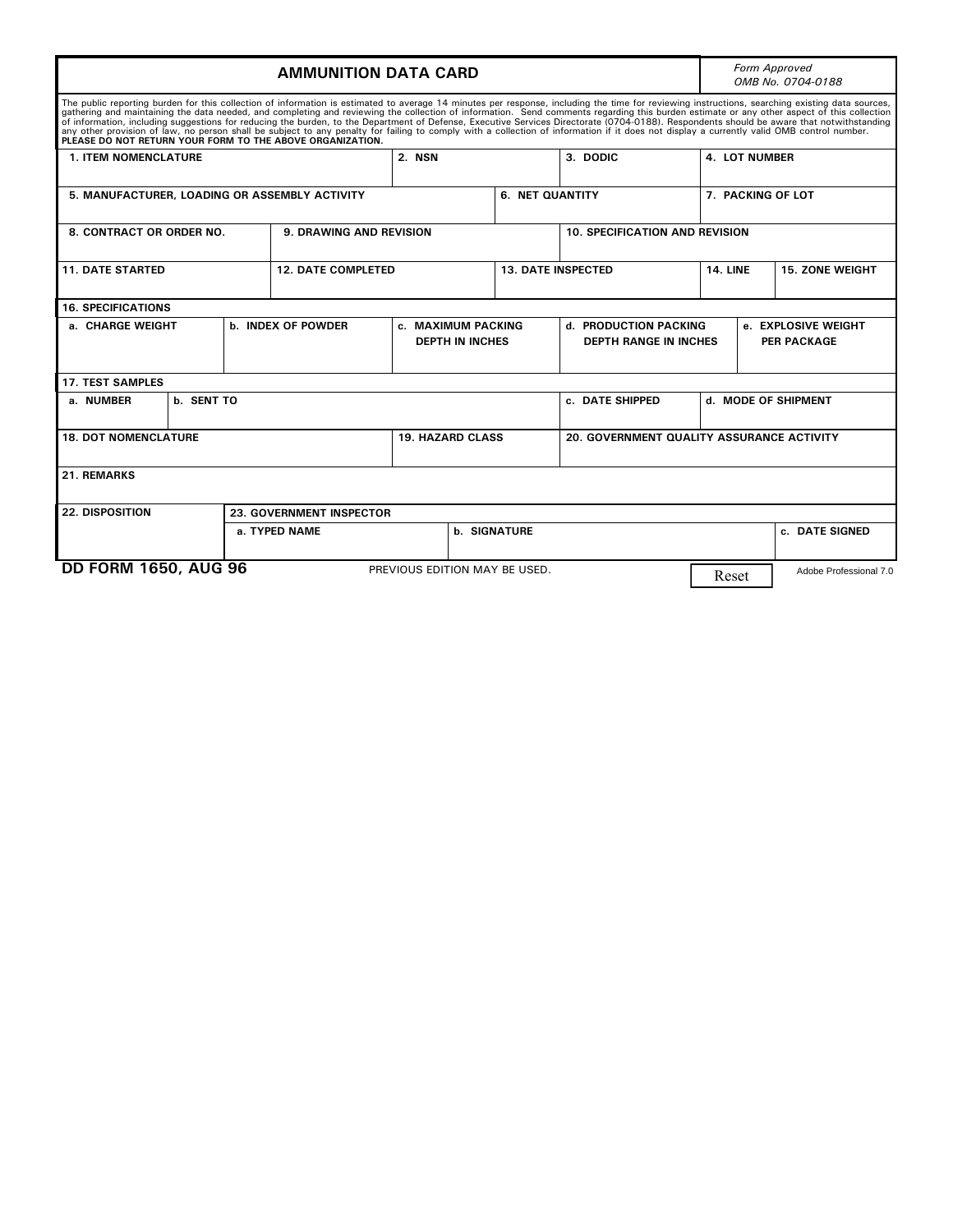|                                                                                                                                                                                                                                                                                                                                                                                                                                                                                                                                                                                                                                                                                                                                                                                                                                                      |            | Form Approved<br>OMB No. 0704-0188                                        |                               |                 |                                                       |                                       |                                           |                        |
|------------------------------------------------------------------------------------------------------------------------------------------------------------------------------------------------------------------------------------------------------------------------------------------------------------------------------------------------------------------------------------------------------------------------------------------------------------------------------------------------------------------------------------------------------------------------------------------------------------------------------------------------------------------------------------------------------------------------------------------------------------------------------------------------------------------------------------------------------|------------|---------------------------------------------------------------------------|-------------------------------|-----------------|-------------------------------------------------------|---------------------------------------|-------------------------------------------|------------------------|
| The public reporting burden for this collection of information is estimated to average 14 minutes per response, including the time for reviewing instructions, searching existing data sources,<br>gathering and maintaining the data needed, and completing and reviewing the collection of information. Send comments regarding this burden estimate or any other aspect of this collection<br>of information, including suggestions for reducing the burden, to the Department of Defense, Executive Services Directorate (0704-0188). Respondents should be aware that notwithstanding<br>any other provision of law, no person shall be subject to any penalty for failing to comply with a collection of information if it does not display a currently valid OMB control number.<br>PLEASE DO NOT RETURN YOUR FORM TO THE ABOVE ORGANIZATION. |            |                                                                           |                               |                 |                                                       |                                       |                                           |                        |
| <b>1. ITEM NOMENCLATURE</b>                                                                                                                                                                                                                                                                                                                                                                                                                                                                                                                                                                                                                                                                                                                                                                                                                          |            |                                                                           | 2. NSN                        |                 | 3. DODIC                                              |                                       | <b>4. LOT NUMBER</b>                      |                        |
| 5. MANUFACTURER, LOADING OR ASSEMBLY ACTIVITY                                                                                                                                                                                                                                                                                                                                                                                                                                                                                                                                                                                                                                                                                                                                                                                                        |            |                                                                           |                               | 6. NET QUANTITY |                                                       | 7. PACKING OF LOT                     |                                           |                        |
| 8. CONTRACT OR ORDER NO.                                                                                                                                                                                                                                                                                                                                                                                                                                                                                                                                                                                                                                                                                                                                                                                                                             |            | <b>9. DRAWING AND REVISION</b>                                            |                               |                 |                                                       | <b>10. SPECIFICATION AND REVISION</b> |                                           |                        |
| <b>11. DATE STARTED</b>                                                                                                                                                                                                                                                                                                                                                                                                                                                                                                                                                                                                                                                                                                                                                                                                                              |            | <b>12. DATE COMPLETED</b>                                                 |                               |                 | <b>13. DATE INSPECTED</b>                             |                                       | <b>14. LINE</b>                           | <b>15. ZONE WEIGHT</b> |
| <b>16. SPECIFICATIONS</b>                                                                                                                                                                                                                                                                                                                                                                                                                                                                                                                                                                                                                                                                                                                                                                                                                            |            |                                                                           |                               |                 |                                                       |                                       |                                           |                        |
| a. CHARGE WEIGHT                                                                                                                                                                                                                                                                                                                                                                                                                                                                                                                                                                                                                                                                                                                                                                                                                                     |            | <b>b. INDEX OF POWDER</b><br>c. MAXIMUM PACKING<br><b>DEPTH IN INCHES</b> |                               |                 | d. PRODUCTION PACKING<br><b>DEPTH RANGE IN INCHES</b> |                                       | e. EXPLOSIVE WEIGHT<br><b>PER PACKAGE</b> |                        |
| <b>17. TEST SAMPLES</b>                                                                                                                                                                                                                                                                                                                                                                                                                                                                                                                                                                                                                                                                                                                                                                                                                              |            |                                                                           |                               |                 |                                                       |                                       |                                           |                        |
| a. NUMBER                                                                                                                                                                                                                                                                                                                                                                                                                                                                                                                                                                                                                                                                                                                                                                                                                                            | b. SENT TO |                                                                           |                               | c. DATE SHIPPED |                                                       | d. MODE OF SHIPMENT                   |                                           |                        |
| <b>18. DOT NOMENCLATURE</b>                                                                                                                                                                                                                                                                                                                                                                                                                                                                                                                                                                                                                                                                                                                                                                                                                          |            |                                                                           | <b>19. HAZARD CLASS</b>       |                 | 20. GOVERNMENT QUALITY ASSURANCE ACTIVITY             |                                       |                                           |                        |
| 21. REMARKS                                                                                                                                                                                                                                                                                                                                                                                                                                                                                                                                                                                                                                                                                                                                                                                                                                          |            |                                                                           |                               |                 |                                                       |                                       |                                           |                        |
| <b>22. DISPOSITION</b><br><b>23. GOVERNMENT INSPECTOR</b>                                                                                                                                                                                                                                                                                                                                                                                                                                                                                                                                                                                                                                                                                                                                                                                            |            |                                                                           |                               |                 |                                                       |                                       |                                           |                        |
|                                                                                                                                                                                                                                                                                                                                                                                                                                                                                                                                                                                                                                                                                                                                                                                                                                                      |            | a. TYPED NAME                                                             | <b>b. SIGNATURE</b>           |                 |                                                       |                                       | c. DATE SIGNED                            |                        |
| <b>DD FORM 1650, AUG 96</b>                                                                                                                                                                                                                                                                                                                                                                                                                                                                                                                                                                                                                                                                                                                                                                                                                          |            |                                                                           | PREVIOUS EDITION MAY BE USED. |                 |                                                       | Reset                                 |                                           | Adobe Professional 7.0 |